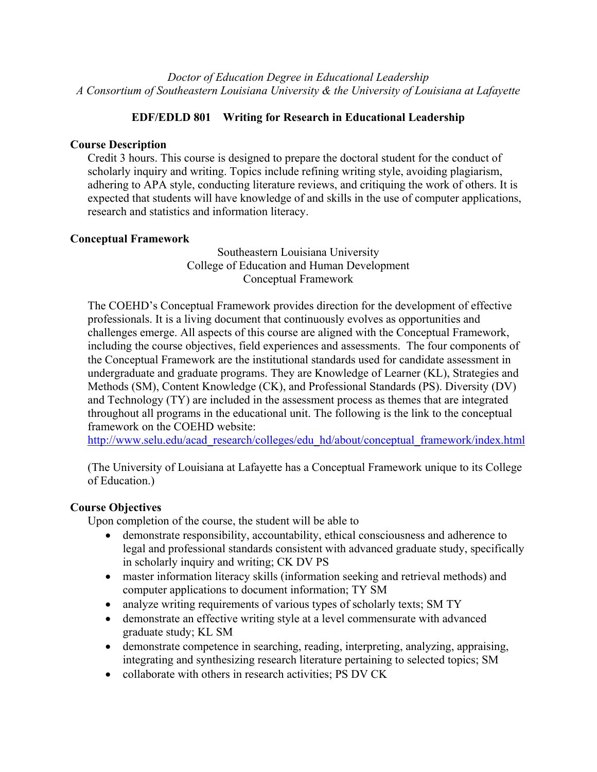*Doctor of Education Degree in Educational Leadership A Consortium of Southeastern Louisiana University & the University of Louisiana at Lafayette*

# **EDF/EDLD 801 Writing for Research in Educational Leadership**

## **Course Description**

Credit 3 hours. This course is designed to prepare the doctoral student for the conduct of scholarly inquiry and writing. Topics include refining writing style, avoiding plagiarism, adhering to APA style, conducting literature reviews, and critiquing the work of others. It is expected that students will have knowledge of and skills in the use of computer applications, research and statistics and information literacy.

## **Conceptual Framework**

Southeastern Louisiana University College of Education and Human Development Conceptual Framework

The COEHD's Conceptual Framework provides direction for the development of effective professionals. It is a living document that continuously evolves as opportunities and challenges emerge. All aspects of this course are aligned with the Conceptual Framework, including the course objectives, field experiences and assessments. The four components of the Conceptual Framework are the institutional standards used for candidate assessment in undergraduate and graduate programs. They are Knowledge of Learner (KL), Strategies and Methods (SM), Content Knowledge (CK), and Professional Standards (PS). Diversity (DV) and Technology (TY) are included in the assessment process as themes that are integrated throughout all programs in the educational unit. The following is the link to the conceptual framework on the COEHD website:

http://www.selu.edu/acad\_research/colleges/edu\_hd/about/conceptual\_framework/index.html

(The University of Louisiana at Lafayette has a Conceptual Framework unique to its College of Education.)

## **Course Objectives**

Upon completion of the course, the student will be able to

- demonstrate responsibility, accountability, ethical consciousness and adherence to legal and professional standards consistent with advanced graduate study, specifically in scholarly inquiry and writing; CK DV PS
- master information literacy skills (information seeking and retrieval methods) and computer applications to document information; TY SM
- analyze writing requirements of various types of scholarly texts; SM TY
- demonstrate an effective writing style at a level commensurate with advanced graduate study; KL SM
- demonstrate competence in searching, reading, interpreting, analyzing, appraising, integrating and synthesizing research literature pertaining to selected topics; SM
- collaborate with others in research activities; PS DV CK